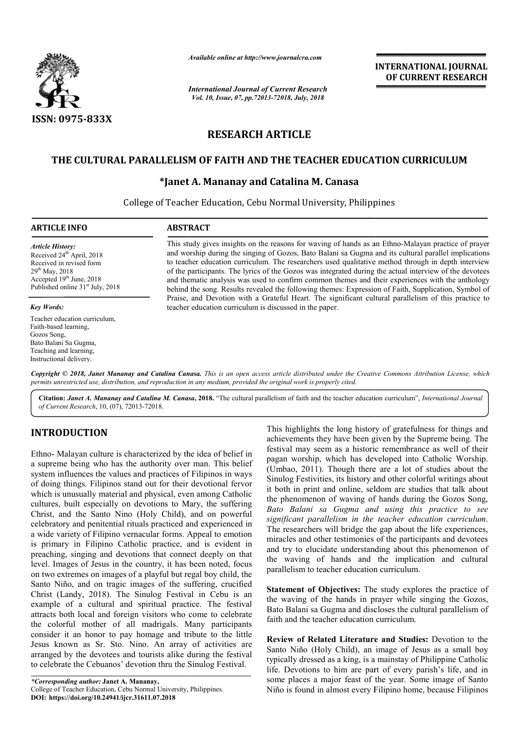

*Available online at http://www.journalcra.com*

*International Journal of Current Research Vol. 10, Issue, 07, pp.72013-72018, July, 2018*

**INTERNATIONAL JOURNAL OF CURRENT RESEARCH**

# **RESEARCH ARTICLE**

# **THE CULTURAL PARALLELISM OF FAITH AND THE TEACHER EDUCATION CURRICULUM CULTURAL PARALLELISM AND THE TEACHER**

# **\*Janet A. Mananay and Catalina M. Canasa Janet**

College of Teacher Education, Cebu Normal University, Philippines

### **ARTICLE INFO ABSTRACT**

*Article History:* Received 24<sup>th</sup> April, 2018 Received in revised form 29th May, 2018 Accepted 19<sup>th</sup> June, 2018 Published online  $31<sup>st</sup>$  July, 2018

#### *Key Words:*

Teacher education curriculum, Faith-based learning, Gozos Song, Bato Balani Sa Gugma, Teaching and learning, Instructional delivery.

This study gives insights on the reasons for waving of hands as an Ethno-Malayan practice of prayer and worship during the singing of Gozos, Bat Bato Balani sa Gugma and its cultural parallel implications to teacher education curriculum. The researchers used qualitative method through in depth interview of the participants. The lyrics of the Gozos was integrated during the actual interview of the devo and thematic analysis was used to confirm common themes and their experiences with the anthology behind the song. Results revealed the following themes: Expression of Faith, Supplication, Symbol of Praise, and Devotion with a Grateful Heart. The significant cultural parallelism of this practice to teacher education curriculum is discussed in the paper. and worship during the singing of Gozos, Bato Balani sa Gugma and its cultural parallel implications<br>to teacher education curriculum. The researchers used qualitative method through in depth interview<br>of the participants. and thematic analysis was used to confirm common themes and their experiences with the anthology<br>behind the song. Results revealed the following themes: Expression of Faith, Supplication, Symbol of<br>Praise, and Devotion wit

Copyright © 2018, Janet Mananay and Catalina Canasa. This is an open access article distributed under the Creative Commons Attribution License, which permits unrestricted use, distribution, and reproduction in any medium, provided the original work is properly cited.

Citation: Janet A. Mananay and Catalina M. Canasa, 2018. "The cultural parallelism of faith and the teacher education curriculum", International Journal *of Current Research*, 10, (07), 72013-72018.

# **INTRODUCTION**

Ethno- Malayan culture is characterized by the idea of belief in a supreme being who has the authority over man. This belief system influences the values and practices of Filipinos in ways of doing things. Filipinos stand out for their devotional fervor which is unusually material and physical, even among Catholic cultures, built especially on devotions to Mary, the suffering Christ, and the Santo Nino (Holy Child), and on powerful celebratory and penitential rituals practiced and experienced in a wide variety of Filipino vernacular forms. Appeal to emotion is primary in Filipino Catholic practice, and is evident in preaching, singing and devotions that connect deeply on that level. Images of Jesus in the country, it has been noted, focus on two extremes on images of a playful but regal boy child, the Santo Niño, and on tragic images of the suffering, crucified Christ (Landy, 2018). The Sinulog Festival in Cebu is an example of a cultural and spiritual practice. The festival attracts both local and foreign visitors who come to celebrate the colorful mother of all madrigals. Many participants consider it an honor to pay homage and tribute to the little Jesus known as Sr. Sto. Nino. An array of activities are arranged by the devotees and tourists alike during the festival to celebrate the Cebuanos' devotion thru the Sinulog Festival. ing, singing and devotions that connect deeply<br>Images of Jesus in the country, it has been note<br>extremes on images of a playful but regal boy c<br>Niño, and on tragic images of the suffering,  $($ Landy, 2018). The Sinulog Fest

This highlights the long history of gratefulness for things and achievements they have been given by the Supreme being. The This highlights the long history of gratefulness for things and achievements they have been given by the Supreme being. The festival may seem as a historic remembrance as well of their pagan worship, which has developed into Catholic Worship. (Umbao, 2011). Though there are a lot of studies about the Sinulog Festivities, its history and other colorful writings about it both in print and online, seldom are studies that talk about the phenomenon of waving of hands during the Gozos Song, *Bato Balani sa Gugma and using this practice to see significant parallelism in the teacher education curriculum Bato Balani Gugma using this practice to education* . The researchers will bridge the gap about the life experiences, miracles and other testimonies of the participants and devotees and try to elucidate understanding about this phenomenon of the waving of hands and the implication and cultural parallelism to teacher education curriculum. worship, which has developed into Catholic Worship.<br>o, 2011). Though there are a lot of studies about the<br>g Festivities, its history and other colorful writings about<br>in print and online, seldom are studies that talk about bridge the gap about the life experiences,<br>and other testimonies of the participants and devotees<br>to elucidate understanding about this phenomenon of<br>ving of hands and the implication and cultural **INTERNATIONAL JOURNAL TONAL JOURNAL FORMATION CONTROL CONTROL CONTROL AND A CONTROL AND A SURFORM THE STATISTIC CONTROLL TO THE TEACHER EDUCATION CURRICULTUM Catallina M. Canasa Normal University, Philippines reasons for** 

**Statement of Objectives:** The study explores the practice of the waving of the hands in prayer while singing the Gozos, Bato Balani sa Gugma and discloses the cultural parallelism of faith and the teacher education curriculum. **Statement of Objectives:** The study explores the the waving of the hands in prayer while singing Bato Balani sa Gugma and discloses the cultural pa faith and the teacher education curriculum.

**Review of Related Literature and Studies Literature and Studies:** Devotion to the Santo Niño (Holy Child), an image of Jesus as a small boy typically dressed as a king, is a mainstay of Philippine Catholic life. Devotions to him are part of every parish's life, and in some places a major feast of the year. Some image of Santo Niño is found in almost every Filipino home, because Filipinos Santo Niño (Holy Child), an image of Jesus as a small boy typically dressed as a king, is a mainstay of Philippine Catholic life. Devotions to him are part of every parish's life, and in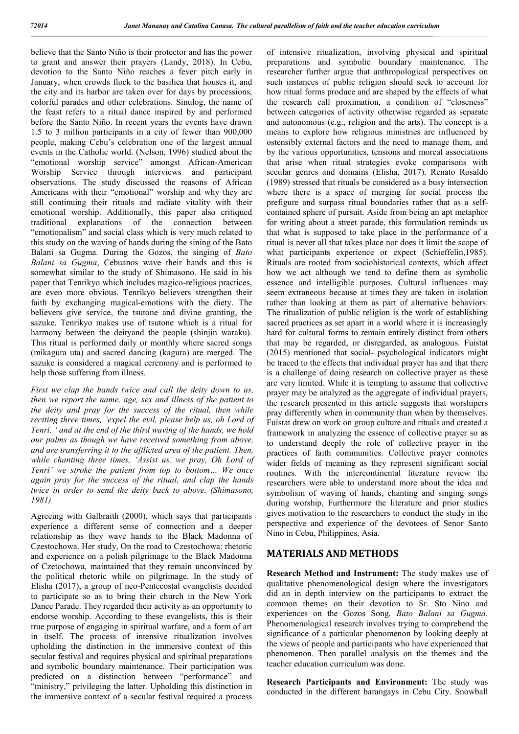believe that the Santo Niño is their protector and has the power to grant and answer their prayers (Landy, 2018). In Cebu, devotion to the Santo Niño reaches a fever pitch early in January, when crowds flock to the basilica that houses it, and the city and its harbor are taken over for days by processions, colorful parades and other celebrations. Sinulog, the name of the feast refers to a ritual dance inspired by and performed before the Santo Niño. In recent years the events have drawn 1.5 to 3 million participants in a city of fewer than 900,000 people, making Cebu's celebration one of the largest annual events in the Catholic world. (Nelson, 1996) studied about the "emotional worship service" amongst African-American Worship Service through interviews and participant observations. The study discussed the reasons of African Americans with their "emotional" worship and why they are still continuing their rituals and radiate vitality with their emotional worship. Additionally, this paper also critiqued traditional explanations of the connection between "emotionalism" and social class which is very much related to this study on the waving of hands during the sining of the Bato Balani sa Gugma. During the Gozos, the singing of *Bato Balani sa Gugma*, Cebuanos wave their hands and this is somewhat similar to the study of Shimasono. He said in his paper that Tenrikyo which includes magico-religious practices, are even more obvious. Tenrikyo believers strengthen their faith by exchanging magical-emotions with the diety. The believers give service, the tsutone and divine granting, the sazuke. Tenrikyo makes use of tsutone which is a ritual for harmony between the deityand the people (shiniin waraku). This ritual is performed daily or monthly where sacred songs (mikagura uta) and sacred dancing (kagura) are merged. The sazuke is considered a magical ceremony and is performed to help those suffering from illness.

*First we clap the hands twice and call the deity down to us, then we report the name, age, sex and illness of the patient to the deity and pray for the success of the ritual, then while reciting three times, 'expel the evil, please help us, oh Lord of Tenri, ' and at the end of the third waving of the hands, we hold our palms as though we have received something from above, and are transferring it to the afflicted area of the patient. Then, while chanting three times, 'Assist us, we pray, Oh Lord of Tenri' we stroke the patient from top to bottom… We once again pray for the success of the ritual, and clap the hands twice in order to send the deity back to above. (Shimasono, 1981)*

Agreeing with Galbraith (2000), which says that participants experience a different sense of connection and a deeper relationship as they wave hands to the Black Madonna of Czestochowa. Her study, On the road to Czestochowa: rhetoric and experience on a polish pilgrimage to the Black Madonna of Czetochowa, maintained that they remain unconvinced by the political rhetoric while on pilgrimage. In the study of Elisha (2017), a group of neo-Pentecostal evangelists decided to participate so as to bring their church in the New York Dance Parade. They regarded their activity as an opportunity to endorse worship. According to these evangelists, this is their true purpose of engaging in spiritual warfare, and a form of art in itself. The process of intensive ritualization involves upholding the distinction in the immersive context of this secular festival and requires physical and spiritual preparations and symbolic boundary maintenance. Their participation was predicted on a distinction between "performance" and "ministry," privileging the latter. Upholding this distinction in the immersive context of a secular festival required a process

of intensive ritualization, involving physical and spiritual preparations and symbolic boundary maintenance. The researcher further argue that anthropological perspectives on such instances of public religion should seek to account for how ritual forms produce and are shaped by the effects of what the research call proximation, a condition of "closeness" between categories of activity otherwise regarded as separate and autonomous (e.g., religion and the arts). The concept is a means to explore how religious ministries are influenced by ostensibly external factors and the need to manage them, and by the various opportunities, tensions and moreal associations that arise when ritual strategies evoke comparisons with secular genres and domains (Elisha, 2017). Renato Rosaldo (1989) stressed that rituals be considered as a busy intersection where there is a space of merging for social process the prefigure and surpass ritual boundaries rather that as a selfcontained sphere of pursuit. Aside from being an apt metaphor for writing about a street parade, this formulation reminds us that what is supposed to take place in the performance of a ritual is never all that takes place nor does it limit the scope of what participants experience or expect (Schieffelin,1985). Rituals are rooted from sociohistorical contexts, which affect how we act although we tend to define them as symbolic essence and intelligible purposes. Cultural influences may seem extraneous because at times they are taken in isolation rather than looking at them as part of alternative behaviors. The ritualization of public religion is the work of establishing sacred practices as set apart in a world where it is increasingly hard for cultural forms to remain entirely distinct from others that may be regarded, or disregarded, as analogous. Fuistat (2015) mentioned that social- psychological indicators might be traced to the effects that individual prayer has and that there is a challenge of doing research on collective prayer as these are very limited. While it is tempting to assume that collective prayer may be analyzed as the aggregate of individual prayers, the research presented in this article suggests that worshipers pray differently when in community than when by themselves. Fuistat drew on work on group culture and rituals and created a framework in analyzing the essence of collective prayer so as to understand deeply the role of collective prayer in the practices of faith communities. Collective prayer connotes wider fields of meaning as they represent significant social routines. With the intercontinental literature review the researchers were able to understand more about the idea and symbolism of waving of hands, chanting and singing songs during worship, Furthermore the literature and prior studies gives motivation to the researchers to conduct the study in the perspective and experience of the devotees of Senor Santo Nino in Cebu, Philippines, Asia.

## **MATERIALS AND METHODS**

**Research Method and Instrument:** The study makes use of qualitative phenomenological design where the investigators did an in depth interview on the participants to extract the common themes on their devotion to Sr. Sto Nino and experiences on the Gozos Song, *Bato Balani sa Gugma.* Phenomenological research involves trying to comprehend the significance of a particular phenomenon by looking deeply at the views of people and participants who have experienced that phenomenon. Then parallel analysis on the themes and the teacher education curriculum was done.

**Research Participants and Environment:** The study was conducted in the different barangays in Cebu City. Snowball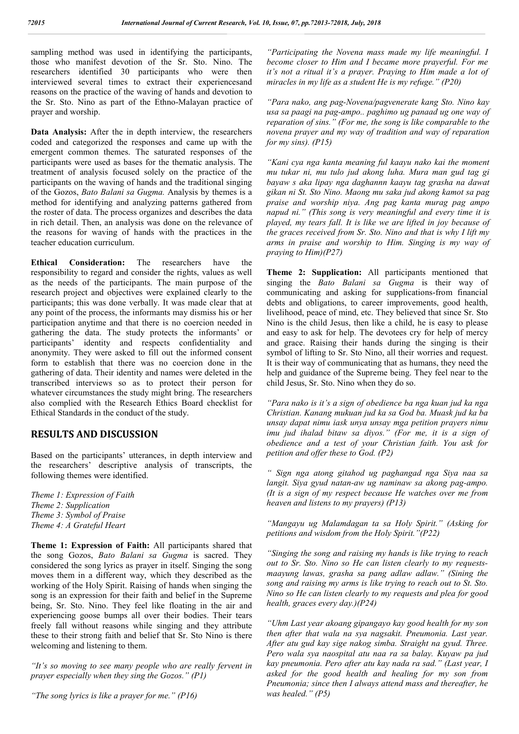sampling method was used in identifying the participants, those who manifest devotion of the Sr. Sto. Nino. The researchers identified 30 participants who were then interviewed several times to extract their experiencesand reasons on the practice of the waving of hands and devotion to the Sr. Sto. Nino as part of the Ethno-Malayan practice of prayer and worship.

**Data Analysis:** After the in depth interview, the researchers coded and categorized the responses and came up with the emergent common themes. The saturated responses of the participants were used as bases for the thematic analysis. The treatment of analysis focused solely on the practice of the participants on the waving of hands and the traditional singing of the Gozos, *Bato Balani sa Gugma.* Analysis by themes is a method for identifying and analyzing patterns gathered from the roster of data. The process organizes and describes the data in rich detail. Then, an analysis was done on the relevance of the reasons for waving of hands with the practices in the teacher education curriculum.

**Ethical Consideration:** The researchers have the responsibility to regard and consider the rights, values as well as the needs of the participants. The main purpose of the research project and objectives were explained clearly to the participants; this was done verbally. It was made clear that at any point of the process, the informants may dismiss his or her participation anytime and that there is no coercion needed in gathering the data. The study protects the informants' or participants' identity and respects confidentiality and anonymity. They were asked to fill out the informed consent form to establish that there was no coercion done in the gathering of data. Their identity and names were deleted in the transcribed interviews so as to protect their person for whatever circumstances the study might bring. The researchers also complied with the Research Ethics Board checklist for Ethical Standards in the conduct of the study.

### **RESULTS AND DISCUSSION**

Based on the participants' utterances, in depth interview and the researchers' descriptive analysis of transcripts, the following themes were identified.

*Theme 1: Expression of Faith Theme 2: Supplication Theme 3: Symbol of Praise Theme 4: A Grateful Heart*

**Theme 1: Expression of Faith:** All participants shared that the song Gozos, *Bato Balani sa Gugma* is sacred. They considered the song lyrics as prayer in itself. Singing the song moves them in a different way, which they described as the working of the Holy Spirit. Raising of hands when singing the song is an expression for their faith and belief in the Supreme being, Sr. Sto. Nino. They feel like floating in the air and experiencing goose bumps all over their bodies. Their tears freely fall without reasons while singing and they attribute these to their strong faith and belief that Sr. Sto Nino is there welcoming and listening to them.

*"It's so moving to see many people who are really fervent in prayer especially when they sing the Gozos." (P1)*

*"The song lyrics is like a prayer for me." (P16)*

*"Participating the Novena mass made my life meaningful. I become closer to Him and I became more prayerful. For me it's not a ritual it's a prayer. Praying to Him made a lot of miracles in my life as a student He is my refuge." (P20)*

*"Para nako, ang pag-Novena/pagvenerate kang Sto. Nino kay usa sa paagi na pag-ampo.. paghimo ug panaad ug one way of reparation of sins." (For me, the song is like comparable to the novena prayer and my way of tradition and way of reparation for my sins). (P15)*

*"Kani cya nga kanta meaning ful kaayu nako kai the moment mu tukar ni, mu tulo jud akong luha. Mura man gud tag gi bayaw s aka lipay nga daghannn kaayu tag grasha na dawat gikan ni St. Sto Nino. Maong mu saka jud akong kamot sa pag praise and worship niya. Ang pag kanta murag pag ampo napud ni." (This song is very meaningful and every time it is played, my tears fall. It is like we are lifted in joy because of the graces received from Sr. Sto. Nino and that is why I lift my arms in praise and worship to Him. Singing is my way of praying to Him)(P27)*

**Theme 2: Supplication:** All participants mentioned that singing the *Bato Balani sa Gugma* is their way of communicating and asking for supplications-from financial debts and obligations, to career improvements, good health, livelihood, peace of mind, etc. They believed that since Sr. Sto Nino is the child Jesus, then like a child, he is easy to please and easy to ask for help. The devotees cry for help of mercy and grace. Raising their hands during the singing is their symbol of lifting to Sr. Sto Nino, all their worries and request. It is their way of communicating that as humans, they need the help and guidance of the Supreme being. They feel near to the child Jesus, Sr. Sto. Nino when they do so.

*"Para nako is it's a sign of obedience ba nga kuan jud ka nga Christian. Kanang mukuan jud ka sa God ba. Muask jud ka ba unsay dapat nimu iask unya unsay mga petition prayers nimu imu jud ihalad bitaw sa diyos." (For me, it is a sign of obedience and a test of your Christian faith. You ask for petition and offer these to God. (P2)*

*" Sign nga atong gitahod ug paghangad nga Siya naa sa langit. Siya gyud natan-aw ug naminaw sa akong pag-ampo. (It is a sign of my respect because He watches over me from heaven and listens to my prayers) (P13)*

*"Mangayu ug Malamdagan ta sa Holy Spirit." (Asking for petitions and wisdom from the Holy Spirit."(P22)*

*"Singing the song and raising my hands is like trying to reach out to Sr. Sto. Nino so He can listen clearly to my requestsmaayung lawas, grasha sa pang adlaw adlaw." (Sining the song and raising my arms is like trying to reach out to St. Sto. Nino so He can listen clearly to my requests and plea for good health, graces every day.)(P24)*

*"Uhm Last year akoang gipangayo kay good health for my son then after that wala na sya nagsakit. Pneumonia. Last year. After atu gud kay sige nakog simba. Straight na gyud. Three. Pero wala sya naospital atu naa ra sa balay. Kuyaw pa jud kay pneumonia. Pero after atu kay nada ra sad." (Last year, I asked for the good health and healing for my son from Pneumonia; since then I always attend mass and thereafter, he was healed." (P5)*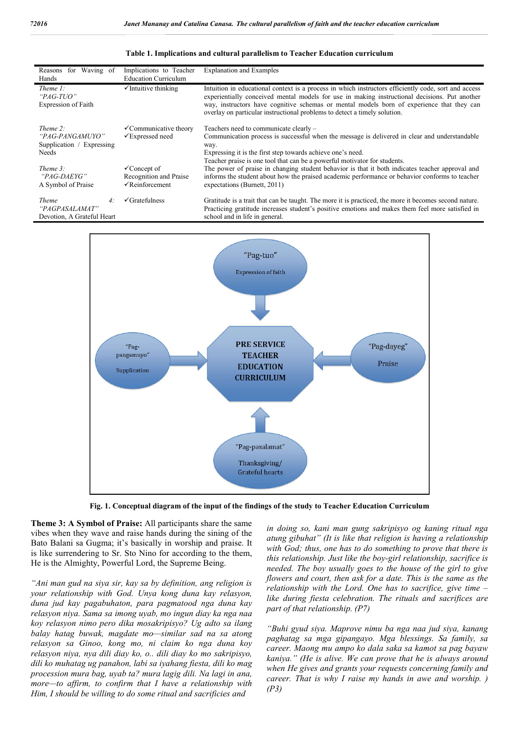| for Waving of<br>Reasons<br>Hands                                         | Implications to Teacher<br><b>Education Curriculum</b>                             | <b>Explanation and Examples</b>                                                                                                                                                                                                                                                                                                                                                 |
|---------------------------------------------------------------------------|------------------------------------------------------------------------------------|---------------------------------------------------------------------------------------------------------------------------------------------------------------------------------------------------------------------------------------------------------------------------------------------------------------------------------------------------------------------------------|
| Thene 1:<br>"PAG-TUO"<br>Expression of Faith                              | $\checkmark$ Intuitive thinking                                                    | Intuition in educational context is a process in which instructors efficiently code, sort and access<br>experientially conceived mental models for use in making instructional decisions. Put another<br>way, instructors have cognitive schemas or mental models born of experience that they can<br>overlay on particular instructional problems to detect a timely solution. |
| Theme $2$ :<br>"PAG-PANGAMUYO"<br>Supplication / Expressing<br>Needs      | $\checkmark$ Communicative theory<br>$\sqrt{\text{Expressed need}}$                | Teachers need to communicate clearly -<br>Communication process is successful when the message is delivered in clear and understandable<br>way.<br>Expressing it is the first step towards achieve one's need.<br>Teacher praise is one tool that can be a powerful motivator for students.                                                                                     |
| Theme $3$ :<br><i>"PAG-DAEYG"</i><br>A Symbol of Praise                   | $\checkmark$ Concept of<br>Recognition and Praise<br>$\sqrt{\text{Reinforcement}}$ | The power of praise in changing student behavior is that it both indicates teacher approval and<br>informs the student about how the praised academic performance or behavior conforms to teacher<br>expectations (Burnett, 2011)                                                                                                                                               |
| <i>Theme</i><br>4:<br><i>"PAGPASALAMAT"</i><br>Devotion, A Grateful Heart | $\checkmark$ Gratefulness                                                          | Gratitude is a trait that can be taught. The more it is practiced, the more it becomes second nature.<br>Practicing gratitude increases student's positive emotions and makes them feel more satisfied in<br>school and in life in general.                                                                                                                                     |

#### **Table 1. Implications and cultural parallelism to Teacher Education curriculum**



**Fig. 1. Conceptual diagram of the input of the findings of the study to Teacher Education Curriculum**

**Theme 3: A Symbol of Praise:** All participants share the same vibes when they wave and raise hands during the sining of the Bato Balani sa Gugma; it's basically in worship and praise. It is like surrendering to Sr. Sto Nino for according to the them, He is the Almighty, Powerful Lord, the Supreme Being.

*"Ani man gud na siya sir, kay sa by definition, ang religion is your relationship with God. Unya kong duna kay relasyon, duna jud kay pagabuhaton, para pagmatood nga duna kay relasyon niya. Sama sa imong uyab, mo ingun diay ka nga naa koy relasyon nimo pero dika mosakripisyo? Ug adto sa ilang balay hatag buwak, magdate mo—similar sad na sa atong relasyon sa Ginoo, kong mo, ni claim ko nga duna koy relasyon niya, nya dili diay ko, o.. dili diay ko mo sakripisyo, dili ko muhatag ug panahon, labi sa iyahang fiesta, dili ko mag procession mura bag, uyab ta? mura lagig dili. Na lagi in ana, more—to affirm, to confirm that I have a relationship with Him, I should be willing to do some ritual and sacrificies and*

*in doing so, kani man gung sakripisyo og kaning ritual nga atung gibuhat" (It is like that religion is having a relationship with God; thus, one has to do something to prove that there is this relationship. Just like the boy-girl relationship, sacrifice is needed. The boy usually goes to the house of the girl to give flowers and court, then ask for a date. This is the same as the relationship with the Lord. One has to sacrifice, give time – like during fiesta celebration. The rituals and sacrifices are part of that relationship. (P7)*

*"Buhi gyud siya. Maprove nimu ba nga naa jud siya, kanang paghatag sa mga gipangayo. Mga blessings. Sa family, sa career. Maong mu ampo ko dala saka sa kamot sa pag bayaw kaniya." (He is alive. We can prove that he is always around when He gives and grants your requests concerning family and career. That is why I raise my hands in awe and worship. ) (P3)*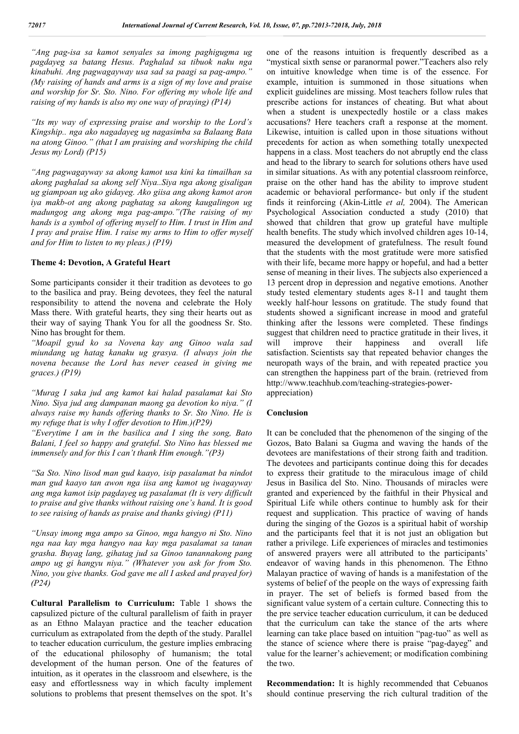*"Ang pag-isa sa kamot senyales sa imong paghigugma ug pagdayeg sa batang Hesus. Paghalad sa tibuok naku nga kinabuhi. Ang pagwagayway usa sad sa paagi sa pag-ampo." (My raising of hands and arms is a sign of my love and praise and worship for Sr. Sto. Nino. For offering my whole life and raising of my hands is also my one way of praying) (P14)*

*"Its my way of expressing praise and worship to the Lord's Kingship.. nga ako nagadayeg ug nagasimba sa Balaang Bata na atong Ginoo." (that I am praising and worshiping the child Jesus my Lord) (P15)*

*"Ang pagwagayway sa akong kamot usa kini ka timailhan sa akong paghalad sa akong self Niya..Siya nga akong gisaligan ug giampoan ug ako gidayeg. Ako giisa ang akong kamot aron iya makb-ot ang akong paghatag sa akong kaugalingon ug madungog ang akong mga pag-ampo."(The raising of my hands is a symbol of offering myself to Him. I trust in Him and I pray and praise Him. I raise my arms to Him to offer myself and for Him to listen to my pleas.) (P19)*

#### **Theme 4: Devotion, A Grateful Heart**

Some participants consider it their tradition as devotees to go to the basilica and pray. Being devotees, they feel the natural responsibility to attend the novena and celebrate the Holy Mass there. With grateful hearts, they sing their hearts out as their way of saying Thank You for all the goodness Sr. Sto. Nino has brought for them.

*"Moapil gyud ko sa Novena kay ang Ginoo wala sad miundang ug hatag kanaku ug grasya. (I always join the novena because the Lord has never ceased in giving me graces.) (P19)*

*"Murag I saka jud ang kamot kai halad pasalamat kai Sto Nino. Siya jud ang dampanan maong ga devotion ko niya." (I always raise my hands offering thanks to Sr. Sto Nino. He is my refuge that is why I offer devotion to Him.)(P29)*

*"Everytime I am in the basilica and I sing the song, Bato Balani, I feel so happy and grateful. Sto Nino has blessed me immensely and for this I can't thank Him enough."(P3)*

*"Sa Sto. Nino lisod man gud kaayo, isip pasalamat ba nindot man gud kaayo tan awon nga iisa ang kamot ug iwagayway ang mga kamot isip pagdayeg ug pasalamat (It is very difficult to praise and give thanks without raising one's hand. It is good to see raising of hands as praise and thanks giving) (P11)*

*"Unsay imong mga ampo sa Ginoo, mga hangyo ni Sto. Nino nga naa kay mga hangyo naa kay mga pasalamat sa tanan grasha. Buyag lang, gihatag jud sa Ginoo tanannakong pang ampo ug gi hangyu niya." (Whatever you ask for from Sto. Nino, you give thanks. God gave me all I asked and prayed for) (P24)*

**Cultural Parallelism to Curriculum:** Table 1 shows the capsulized picture of the cultural parallelism of faith in prayer as an Ethno Malayan practice and the teacher education curriculum as extrapolated from the depth of the study. Parallel to teacher education curriculum, the gesture implies embracing of the educational philosophy of humanism; the total development of the human person. One of the features of intuition, as it operates in the classroom and elsewhere, is the easy and effortlessness way in which faculty implement solutions to problems that present themselves on the spot. It's one of the reasons intuition is frequently described as a "mystical sixth sense or paranormal power."Teachers also rely on intuitive knowledge when time is of the essence. For example, intuition is summoned in those situations when explicit guidelines are missing. Most teachers follow rules that prescribe actions for instances of cheating. But what about when a student is unexpectedly hostile or a class makes accusations? Here teachers craft a response at the moment. Likewise, intuition is called upon in those situations without precedents for action as when something totally unexpected happens in a class. Most teachers do not abruptly end the class and head to the library to search for solutions others have used in similar situations. As with any potential classroom reinforce, praise on the other hand has the ability to improve student academic or behavioral performance- but only if the student finds it reinforcing (Akin-Little *et al,* 2004). The American Psychological Association conducted a study (2010) that showed that children that grow up grateful have multiple health benefits. The study which involved children ages 10-14, measured the development of gratefulness. The result found that the students with the most gratitude were more satisfied with their life, became more happy or hopeful, and had a better sense of meaning in their lives. The subjects also experienced a 13 percent drop in depression and negative emotions. Another study tested elementary students ages 8-11 and taught them weekly half-hour lessons on gratitude. The study found that students showed a significant increase in mood and grateful thinking after the lessons were completed. These findings suggest that children need to practice gratitude in their lives, it will improve their happiness and overall life satisfaction. Scientists say that repeated behavior changes the neuropath ways of the brain, and with repeated practice you can strengthen the happiness part of the brain. (retrieved from http://www.teachhub.com/teaching-strategies-powerappreciation)

#### **Conclusion**

It can be concluded that the phenomenon of the singing of the Gozos, Bato Balani sa Gugma and waving the hands of the devotees are manifestations of their strong faith and tradition. The devotees and participants continue doing this for decades to express their gratitude to the miraculous image of child Jesus in Basilica del Sto. Nino. Thousands of miracles were granted and experienced by the faithful in their Physical and Spiritual Life while others continue to humbly ask for their request and supplication. This practice of waving of hands during the singing of the Gozos is a spiritual habit of worship and the participants feel that it is not just an obligation but rather a privilege. Life experiences of miracles and testimonies of answered prayers were all attributed to the participants' endeavor of waving hands in this phenomenon. The Ethno Malayan practice of waving of hands is a manifestation of the systems of belief of the people on the ways of expressing faith in prayer. The set of beliefs is formed based from the significant value system of a certain culture. Connecting this to the pre service teacher education curriculum, it can be deduced that the curriculum can take the stance of the arts where learning can take place based on intuition "pag-tuo" as well as the stance of science where there is praise "pag-dayeg" and value for the learner's achievement; or modification combining the two.

**Recommendation:** It is highly recommended that Cebuanos should continue preserving the rich cultural tradition of the